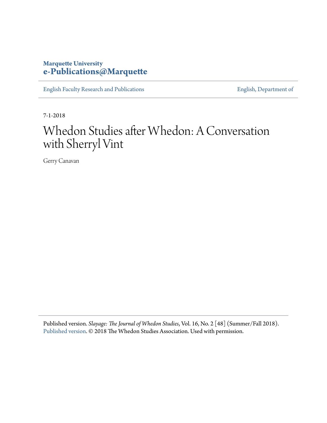## **Marquette University [e-Publications@Marquette](https://epublications.marquette.edu)**

[English Faculty Research and Publications](https://epublications.marquette.edu/english_fac) **[English, Department of](https://epublications.marquette.edu/english)** 

7-1-2018

## Whedon Studies after Whedon: A Conversation with Sherryl Vint

Gerry Canavan

Published version. *Slayage: The Journal of Whedon Studies*, Vol. 16, No. 2 [48] (Summer/Fall 2018). [Published version](https://www.whedonstudies.tv/volume-16.html). © 2018 The Whedon Studies Association. Used with permission.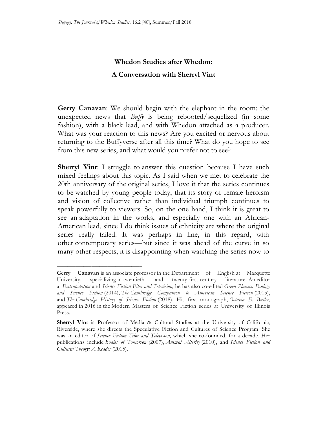## **Whedon Studies after Whedon: A Conversation with Sherryl Vint**

 **Gerry Canavan**: We should begin with the elephant in the room: the unexpected news that *Buffy* is being rebooted/sequelized (in some fashion), with a black lead, and with Whedon attached as a producer. What was your reaction to this news? Are you excited or nervous about returning to the Buffyverse after all this time? What do you hope to see from this new series, and what would you prefer not to see?

 **Sherryl Vint**: I struggle to answer this question because I have such mixed feelings about this topic. As I said when we met to celebrate the 20th anniversary of the original series, I love it that the series continues to be watched by young people today, that its story of female heroism and vision of collective rather than individual triumph continues to speak powerfully to viewers. So, on the one hand, I think it is great to see an adaptation in the works, and especially one with an African- American lead, since I do think issues of ethnicity are where the original series really failed. It was perhaps in line, in this regard, with other contemporary series—but since it was ahead of the curve in so many other respects, it is disappointing when watching the series now to

**\_\_\_\_\_\_\_\_\_\_\_\_\_\_\_\_\_\_\_\_\_\_\_\_\_\_\_\_\_\_\_\_** 

 **Gerry Canavan** is an associate professor in the Department of English at Marquette University, specializing in twentieth- and twenty-first-century literature. An editor at *Extrapolation* and *Science Fiction Film and Television,* he has also co-edited *Green Planets: Ecology and Science Fiction* (2014), *The Cambridge Companion to American Science Fiction* (2015),  and *The Cambridge History of Science Fiction* (2018). His first monograph, *Octavia E. Butler*, appeared in 2016 in the Modern Masters of Science Fiction series at University of Illinois Press.

 **Sherryl Vint** is Professor of Media & Cultural Studies at the University of California, Riverside, where she directs the Speculative Fiction and Cultures of Science Program. She was an editor of *Science Fiction Film and Television*, which she co-founded, for a decade. Her  publications include *Bodies of Tomorrow* (2007), *Animal Alterity* (2010), and *Science Fiction and Cultural Theory: A Reader* (2015).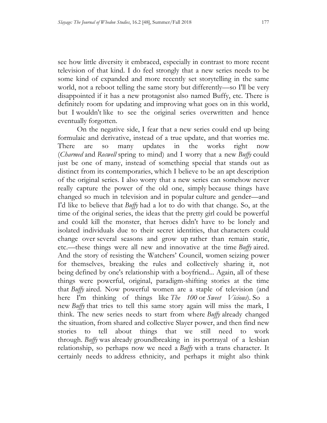see how little diversity it embraced, especially in contrast to more recent television of that kind. I do feel strongly that a new series needs to be some kind of expanded and more recently set storytelling in the same world, not a reboot telling the same story but differently—so I'll be very disappointed if it has a new protagonist also named Buffy, etc. There is definitely room for updating and improving what goes on in this world, but I wouldn't like to see the original series overwritten and hence eventually forgotten.

 On the negative side, I fear that a new series could end up being formulaic and derivative, instead of a true update, and that worries me. There (*Charmed* and *Roswell* spring to mind) and I worry that a new *Buffy* could just be one of many, instead of something special that stands out as distinct from its contemporaries, which I believe to be an apt description of the original series. I also worry that a new series can somehow never really capture the power of the old one, simply because things have changed so much in television and in popular culture and gender—and I'd like to believe that *Buffy* had a lot to do with that change. So, at the time of the original series, the ideas that the pretty girl could be powerful and could kill the monster, that heroes didn't have to be lonely and isolated individuals due to their secret identities, that characters could change over several seasons and grow up rather than remain static, etc.—these things were all new and innovative at the time *Buffy* aired. And the story of resisting the Watchers' Council, women seizing power for themselves, breaking the rules and collectively sharing it, not being defined by one's relationship with a boyfriend... Again, all of these things were powerful, original, paradigm-shifting stories at the time that *Buffy* aired. Now powerful women are a staple of television (and here I'm thinking of things like *The 100* or *Sweet Vicious*). So a new *Buffy* that tries to tell this same story again will miss the mark, I think. The new series needs to start from where *Buffy* already changed the situation, from shared and collective Slayer power, and then find new to through. *Buffy* was already groundbreaking in its portrayal of a lesbian relationship, so perhaps now we need a *Buffy* with a trans character. It certainly needs to address ethnicity, and perhaps it might also think are so many updates in the works right now stories to tell about things that we still need to work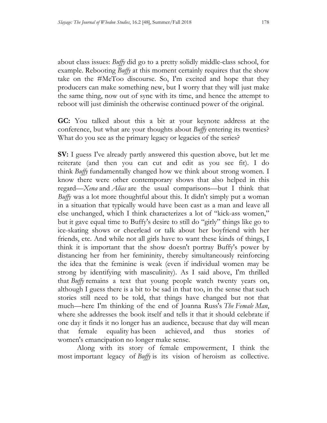about class issues: *Buffy* did go to a pretty solidly middle-class school, for example. Rebooting *Buffy* at this moment certainly requires that the show take on the #MeToo discourse. So, I'm excited and hope that they producers can make something new, but I worry that they will just make the same thing, now out of sync with its time, and hence the attempt to reboot will just diminish the otherwise continued power of the original.

 **GC:** You talked about this a bit at your keynote address at the conference, but what are your thoughts about *Buffy* entering its twenties? What do you see as the primary legacy or legacies of the series?

 **SV:** I guess I've already partly answered this question above, but let me reiterate (and then you can cut and edit as you see fit). I do think *Buffy* fundamentally changed how we think about strong women. I know there were other contemporary shows that also helped in this regard—*Xena* and *Alias* are the usual comparisons—but I think that *Buffy* was a lot more thoughtful about this. It didn't simply put a woman in a situation that typically would have been cast as a man and leave all else unchanged, which I think characterizes a lot of "kick-ass women," but it gave equal time to Buffy's desire to still do "girly" things like go to ice-skating shows or cheerlead or talk about her boyfriend with her friends, etc. And while not all girls have to want these kinds of things, I think it is important that the show doesn't portray Buffy's power by distancing her from her femininity, thereby simultaneously reinforcing the idea that the feminine is weak (even if individual women may be strong by identifying with masculinity). As I said above, I'm thrilled that *Buffy* remains a text that young people watch twenty years on, although I guess there is a bit to be sad in that too, in the sense that such stories still need to be told, that things have changed but not that much—here I'm thinking of the end of Joanna Russ's *The Female Man*, where she addresses the book itself and tells it that it should celebrate if one day it finds it no longer has an audience, because that day will mean that female equality has been achieved, and thus stories of women's emancipation no longer make sense.

 Along with its story of female empowerment, I think the most important legacy of *Buffy* is its vision of heroism as collective.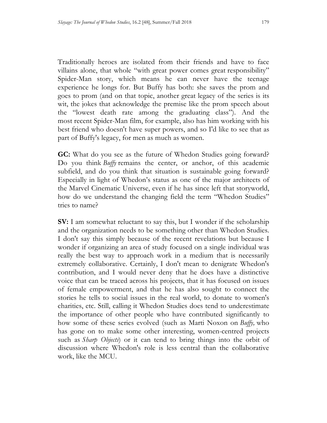Traditionally heroes are isolated from their friends and have to face villains alone, that whole "with great power comes great responsibility" Spider-Man story, which means he can never have the teenage experience he longs for. But Buffy has both: she saves the prom and goes to prom (and on that topic, another great legacy of the series is its wit, the jokes that acknowledge the premise like the prom speech about the "lowest death rate among the graduating class"). And the most recent Spider-Man film, for example, also has him working with his best friend who doesn't have super powers, and so I'd like to see that as part of Buffy's legacy, for men as much as women.

 **GC:** What do you see as the future of Whedon Studies going forward? Do you think *Buffy* remains the center, or anchor, of this academic subfield, and do you think that situation is sustainable going forward? Especially in light of Whedon's status as one of the major architects of the Marvel Cinematic Universe, even if he has since left that storyworld, how do we understand the changing field the term "Whedon Studies" tries to name?

 **SV:** I am somewhat reluctant to say this, but I wonder if the scholarship and the organization needs to be something other than Whedon Studies. wonder if organizing an area of study focused on a single individual was really the best way to approach work in a medium that is necessarily extremely collaborative. Certainly, I don't mean to denigrate Whedon's contribution, and I would never deny that he does have a distinctive voice that can be traced across his projects, that it has focused on issues of female empowerment, and that he has also sought to connect the stories he tells to social issues in the real world, to donate to women's charities, etc. Still, calling it Whedon Studies does tend to underestimate the importance of other people who have contributed significantly to how some of these series evolved (such as Marti Noxon on *Buffy,* who has gone on to make some other interesting, women-centred projects such as *Sharp Objects*) or it can tend to bring things into the orbit of discussion where Whedon's role is less central than the collaborative work, like the MCU. I don't say this simply because of the recent revelations but because I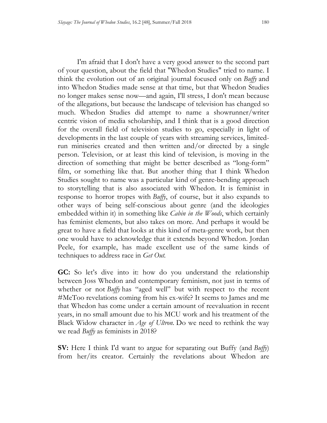I'm afraid that I don't have a very good answer to the second part of your question, about the field that "Whedon Studies" tried to name. I think the evolution out of an original journal focused only on *Buffy* and into Whedon Studies made sense at that time, but that Whedon Studies no longer makes sense now—and again, I'll stress, I don't mean because of the allegations, but because the landscape of television has changed so much. Whedon Studies did attempt to name a showrunner/writer centric vision of media scholarship, and I think that is a good direction for the overall field of television studies to go, especially in light of developments in the last couple of years with streaming services, limited- run miniseries created and then written and/or directed by a single person. Television, or at least this kind of television, is moving in the direction of something that might be better described as "long-form" film, or something like that. But another thing that I think Whedon Studies sought to name was a particular kind of genre-bending approach to storytelling that is also associated with Whedon. It is feminist in response to horror tropes with *Buffy*, of course, but it also expands to other ways of being self-conscious about genre (and the ideologies embedded within it) in something like *Cabin in the Woods*, which certainly has feminist elements, but also takes on more. And perhaps it would be great to have a field that looks at this kind of meta-genre work, but then one would have to acknowledge that it extends beyond Whedon. Jordan Peele, for example, has made excellent use of the same kinds of techniques to address race in *Get Out.* 

 **GC:** So let's dive into it: how do you understand the relationship between Joss Whedon and contemporary feminism, not just in terms of whether or not *Buffy* has "aged well" but with respect to the recent #MeToo revelations coming from his ex-wife? It seems to James and me that Whedon has come under a certain amount of reevaluation in recent years, in no small amount due to his MCU work and his treatment of the Black Widow character in *Age of Ultron*. Do we need to rethink the way we read *Buffy* as feminists in 2018?

 **SV:** Here I think I'd want to argue for separating out Buffy (and *Buffy*) from her/its creator. Certainly the revelations about Whedon are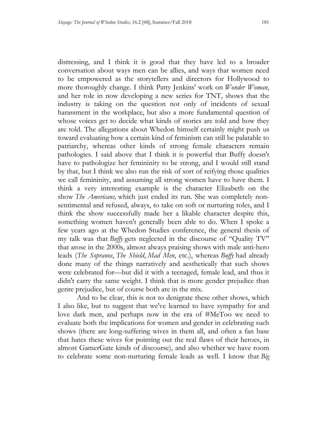distressing, and I think it is good that they have led to a broader conversation about ways men can be allies, and ways that women need to be empowered as the storytellers and directors for Hollywood to more thoroughly change. I think Patty Jenkins' work on *Wonder Woman*, and her role in now developing a new series for TNT, shows that the industry is taking on the question not only of incidents of sexual harassment in the workplace, but also a more fundamental question of whose voices get to decide what kinds of stories are told and how they are told. The allegations about Whedon himself certainly might push us toward evaluating how a certain kind of feminism can still be palatable to patriarchy, whereas other kinds of strong female characters remain pathologies. I said above that I think it is powerful that Buffy doesn't have to pathologize her femininity to be strong, and I would still stand by that, but I think we also run the risk of sort of reifying those qualities we call femininity, and assuming all strong women have to have them. I think a very interesting example is the character Elizabeth on the show *The Americans,* which just ended its run. She was completely non- sentimental and refused, always, to take on soft or nurturing roles, and I think the show successfully made her a likable character despite this, something women haven't generally been able to do. When I spoke a few years ago at the Whedon Studies conference, the general thesis of my talk was that *Buffy* gets neglected in the discourse of "Quality TV" that arose in the 2000s, almost always praising shows with male anti-hero leads (*The Sopranos*, *The Shield*, *Mad Men*, etc.), whereas *Buffy* had already done many of the things narratively and aesthetically that such shows were celebrated for—but did it with a teenaged, female lead, and thus it didn't carry the same weight. I think that is more gender prejudice than genre prejudice, but of course both are in the mix.

 And to be clear, this is not to denigrate these other shows, which I also like, but to suggest that we've learned to have sympathy for and love dark men, and perhaps now in the era of #MeToo we need to evaluate both the implications for women and gender in celebrating such shows (there are long-suffering wives in them all, and often a fan base that hates these wives for pointing out the real flaws of their heroes, in almost GamerGate kinds of discourse), and also whether we have room to celebrate some non-nurturing female leads as well. I know that *Big*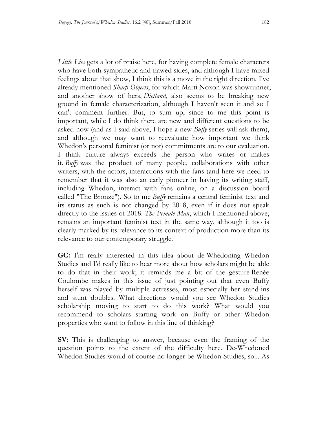*Little Lies* gets a lot of praise here, for having complete female characters who have both sympathetic and flawed sides, and although I have mixed feelings about that show, I think this is a move in the right direction. I've already mentioned *Sharp Objects*, for which Marti Noxon was showrunner, and another show of hers, *Dietland*, also seems to be breaking new ground in female characterization, although I haven't seen it and so I can't comment further. But, to sum up, since to me this point is important, while I do think there are new and different questions to be asked now (and as I said above, I hope a new *Buffy* series will ask them), and although we may want to reevaluate how important we think Whedon's personal feminist (or not) commitments are to our evaluation. I think culture always exceeds the person who writes or makes it. *Buffy* was the product of many people, collaborations with other writers, with the actors, interactions with the fans (and here we need to remember that it was also an early pioneer in having its writing staff, including Whedon, interact with fans online, on a discussion board called "The Bronze"). So to me *Buffy* remains a central feminist text and its status as such is not changed by 2018, even if it does not speak directly to the issues of 2018. *The Female Man*, which I mentioned above, remains an important feminist text in the same way, although it too is clearly marked by its relevance to its context of production more than its relevance to our contemporary struggle.

 **GC:** I'm really interested in this idea about de-Whedoning Whedon Studies and I'd really like to hear more about how scholars might be able to do that in their work; it reminds me a bit of the gesture Renée Coulombe makes in this issue of just pointing out that even Buffy herself was played by multiple actresses, most especially her stand-ins and stunt doubles. What directions would you see Whedon Studies scholarship moving to start to do this work? What would you recommend to scholars starting work on Buffy or other Whedon properties who want to follow in this line of thinking?

 **SV:** This is challenging to answer, because even the framing of the question points to the extent of the difficulty here. De-Whedoned Whedon Studies would of course no longer be Whedon Studies, so... As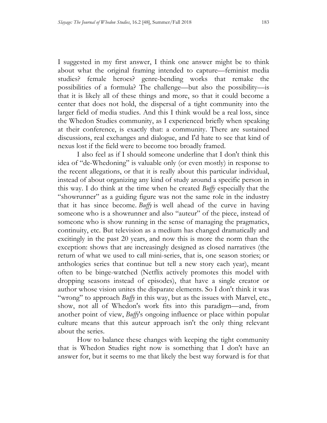I suggested in my first answer, I think one answer might be to think about what the original framing intended to capture—feminist media studies? female heroes? genre-bending works that remake the possibilities of a formula? The challenge—but also the possibility—is that it is likely all of these things and more, so that it could become a center that does not hold, the dispersal of a tight community into the larger field of media studies. And this I think would be a real loss, since the Whedon Studies community, as I experienced briefly when speaking at their conference, is exactly that: a community. There are sustained discussions, real exchanges and dialogue, and I'd hate to see that kind of nexus lost if the field were to become too broadly framed.

 I also feel as if I should someone underline that I don't think this idea of "de-Whedoning" is valuable only (or even mostly) in response to the recent allegations, or that it is really about this particular individual, instead of about organizing any kind of study around a specific person in this way. I do think at the time when he created *Buffy* especially that the "showrunner" as a guiding figure was not the same role in the industry that it has since become. *Buffy* is well ahead of the curve in having someone who is a showrunner and also "auteur" of the piece, instead of someone who is show running in the sense of managing the pragmatics, continuity, etc. But television as a medium has changed dramatically and excitingly in the past 20 years, and now this is more the norm than the exception: shows that are increasingly designed as closed narratives (the return of what we used to call mini-series, that is, one season stories; or anthologies series that continue but tell a new story each year), meant often to be binge-watched (Netflix actively promotes this model with dropping seasons instead of episodes), that have a single creator or author whose vision unites the disparate elements. So I don't think it was "wrong" to approach *Buffy* in this way, but as the issues with Marvel, etc., show, not all of Whedon's work fits into this paradigm—and, from another point of view, *Buffy*'s ongoing influence or place within popular culture means that this auteur approach isn't the only thing relevant about the series.

 How to balance these changes with keeping the tight community that is Whedon Studies right now is something that I don't have an answer for, but it seems to me that likely the best way forward is for that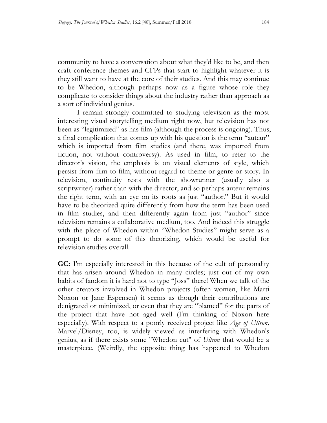community to have a conversation about what they'd like to be, and then craft conference themes and CFPs that start to highlight whatever it is they still want to have at the core of their studies. And this may continue to be Whedon, although perhaps now as a figure whose role they complicate to consider things about the industry rather than approach as a sort of individual genius.

 I remain strongly committed to studying television as the most interesting visual storytelling medium right now, but television has not been as "legitimized" as has film (although the process is ongoing). Thus, a final complication that comes up with his question is the term "auteur" which is imported from film studies (and there, was imported from fiction, not without controversy). As used in film, to refer to the director's vision, the emphasis is on visual elements of style, which persist from film to film, without regard to theme or genre or story. In television, continuity rests with the showrunner (usually also a scriptwriter) rather than with the director, and so perhaps auteur remains the right term, with an eye on its roots as just "author." But it would have to be theorized quite differently from how the term has been used in film studies, and then differently again from just "author" since television remains a collaborative medium, too. And indeed this struggle with the place of Whedon within "Whedon Studies" might serve as a prompt to do some of this theorizing, which would be useful for television studies overall.

 **GC:** I'm especially interested in this because of the cult of personality that has arisen around Whedon in many circles; just out of my own habits of fandom it is hard not to type "Joss" there! When we talk of the other creators involved in Whedon projects (often women, like Marti Noxon or Jane Espensen) it seems as though their contributions are denigrated or minimized, or even that they are "blamed" for the parts of the project that have not aged well (I'm thinking of Noxon here especially). With respect to a poorly received project like *Age of Ultron,*  Marvel/Disney, too, is widely viewed as interfering with Whedon's genius, as if there exists some "Whedon cut" of *Ultron* that would be a masterpiece. (Weirdly, the opposite thing has happened to Whedon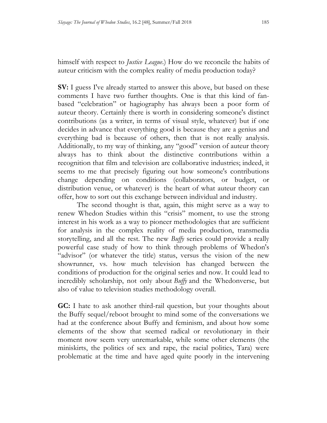himself with respect to *Justice League*.) How do we reconcile the habits of auteur criticism with the complex reality of media production today?

**SV:** I guess I've already started to answer this above, but based on these comments I have two further thoughts. One is that this kind of fan- based "celebration" or hagiography has always been a poor form of auteur theory. Certainly there is worth in considering someone's distinct contributions (as a writer, in terms of visual style, whatever) but if one decides in advance that everything good is because they are a genius and everything bad is because of others, then that is not really analysis. Additionally, to my way of thinking, any "good" version of auteur theory always has to think about the distinctive contributions within a recognition that film and television are collaborative industries; indeed, it seems to me that precisely figuring out how someone's contributions change depending on conditions (collaborators, or budget, or distribution venue, or whatever) is the heart of what auteur theory can offer, how to sort out this exchange between individual and industry.

 The second thought is that, again, this might serve as a way to renew Whedon Studies within this "crisis" moment, to use the strong interest in his work as a way to pioneer methodologies that are sufficient for analysis in the complex reality of media production, transmedia storytelling, and all the rest. The new *Buffy* series could provide a really powerful case study of how to think through problems of Whedon's "advisor" (or whatever the title) status, versus the vision of the new showrunner, vs. how much television has changed between the conditions of production for the original series and now. It could lead to incredibly scholarship, not only about *Buffy* and the Whedonverse, but also of value to television studies methodology overall.

 **GC:** I hate to ask another third-rail question, but your thoughts about the Buffy sequel/reboot brought to mind some of the conversations we had at the conference about Buffy and feminism, and about how some elements of the show that seemed radical or revolutionary in their moment now seem very unremarkable, while some other elements (the miniskirts, the politics of sex and rape, the racial politics, Tara) were problematic at the time and have aged quite poorly in the intervening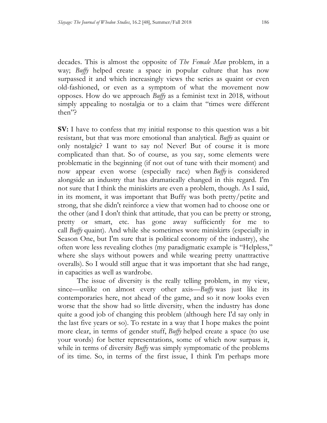decades. This is almost the opposite of *The Female Man* problem, in a way; *Buffy* helped create a space in popular culture that has now surpassed it and which increasingly views the series as quaint or even old-fashioned, or even as a symptom of what the movement now opposes. How do we approach *Buffy* as a feminist text in 2018, without simply appealing to nostalgia or to a claim that "times were different then"?

 **SV:** I have to confess that my initial response to this question was a bit resistant, but that was more emotional than analytical. *Buffy* as quaint or only nostalgic? I want to say no! Never! But of course it is more complicated than that. So of course, as you say, some elements were problematic in the beginning (if not out of tune with their moment) and now appear even worse (especially race) when *Buffy* is considered alongside an industry that has dramatically changed in this regard. I'm in its moment, it was important that Buffy was both pretty/petite and strong, that she didn't reinforce a view that women had to choose one or the other (and I don't think that attitude, that you can be pretty or strong, pretty or smart, etc. has gone away sufficiently for me to call *Buffy* quaint). And while she sometimes wore miniskirts (especially in Season One, but I'm sure that is political economy of the industry), she often wore less revealing clothes (my paradigmatic example is "Helpless," where she slays without powers and while wearing pretty unattractive overalls). So I would still argue that it was important that she had range, not sure that I think the miniskirts are even a problem, though. As I said, in capacities as well as wardrobe.

 The issue of diversity is the really telling problem, in my view, since—unlike on almost every other axis—*Buffy* was just like its contemporaries here, not ahead of the game, and so it now looks even worse that the show had so little diversity, when the industry has done quite a good job of changing this problem (although here I'd say only in the last five years or so). To restate in a way that I hope makes the point more clear, in terms of gender stuff, *Buffy* helped create a space (to use your words) for better representations, some of which now surpass it, while in terms of diversity *Buffy* was simply symptomatic of the problems of its time. So, in terms of the first issue, I think I'm perhaps more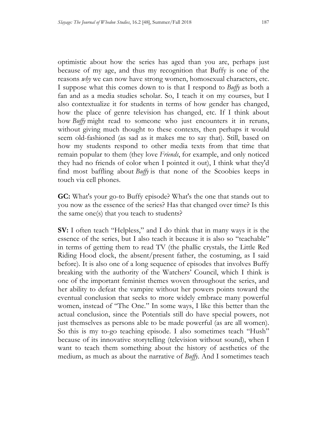optimistic about how the series has aged than you are, perhaps just because of my age, and thus my recognition that Buffy is one of the reasons *why* we can now have strong women, homosexual characters, etc. I suppose what this comes down to is that I respond to *Buffy* as both a fan and as a media studies scholar. So, I teach it on my courses, but I also contextualize it for students in terms of how gender has changed, how the place of genre television has changed, etc. If I think about how *Buffy* might read to someone who just encounters it in reruns, without giving much thought to these contexts, then perhaps it would seem old-fashioned (as sad as it makes me to say that). Still, based on how my students respond to other media texts from that time that remain popular to them (they love *Friends*, for example, and only noticed they had no friends of color when I pointed it out), I think what they'd find most baffling about *Buffy* is that none of the Scoobies keeps in touch via cell phones.

 **GC:** What's your go-to Buffy episode? What's the one that stands out to you now as the essence of the series? Has that changed over time? Is this the same one(s) that you teach to students?

 **SV:** I often teach "Helpless," and I do think that in many ways it is the essence of the series, but I also teach it because it is also so "teachable" in terms of getting them to read TV (the phallic crystals, the Little Red Riding Hood clock, the absent/present father, the costuming, as I said before). It is also one of a long sequence of episodes that involves Buffy breaking with the authority of the Watchers' Council, which I think is one of the important feminist themes woven throughout the series, and her ability to defeat the vampire without her powers points toward the eventual conclusion that seeks to more widely embrace many powerful women, instead of "The One." In some ways, I like this better than the actual conclusion, since the Potentials still do have special powers, not just themselves as persons able to be made powerful (as are all women). So this is my to-go teaching episode. I also sometimes teach "Hush" because of its innovative storytelling (television without sound), when I want to teach them something about the history of aesthetics of the medium, as much as about the narrative of *Buffy*. And I sometimes teach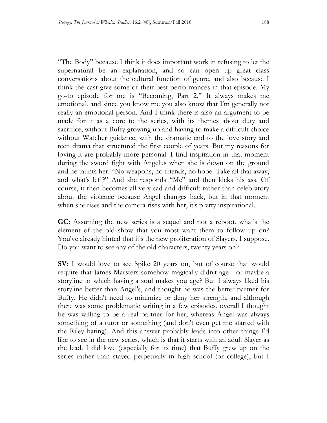"The Body" because I think it does important work in refusing to let the supernatural be an explanation, and so can open up great class conversations about the cultural function of genre, and also because I think the cast give some of their best performances in that episode. My go-to episode for me is "Becoming, Part 2." It always makes me emotional, and since you know me you also know that I'm generally not really an emotional person. And I think there is also an argument to be made for it as a core to the series, with its themes about duty and sacrifice, without Buffy growing up and having to make a difficult choice without Watcher guidance, with the dramatic end to the love story and teen drama that structured the first couple of years. But my reasons for loving it are probably more personal: I find inspiration in that moment during the sword fight with Angelus when she is down on the ground and he taunts her. "No weapons, no friends, no hope. Take all that away, and what's left?" And she responds "Me" and then kicks his ass. Of course, it then becomes all very sad and difficult rather than celebratory about the violence because Angel changes back, but in that moment when she rises and the camera rises with her, it's pretty inspirational.

 **GC:** Assuming the new series is a sequel and not a reboot, what's the element of the old show that you most want them to follow up on? You've already hinted that it's the new proliferation of Slayers, I suppose. Do you want to see any of the old characters, twenty years on?

**SV:** I would love to see Spike 20 years on, but of course that would require that James Marsters somehow magically didn't age—or maybe a storyline in which having a soul makes you age? But I always liked his storyline better than Angel's, and thought he was the better partner for Buffy. He didn't need to minimize or deny her strength, and although there was some problematic writing in a few episodes, overall I thought he was willing to be a real partner for her, whereas Angel was always something of a tutor or something (and don't even get me started with the Riley hating). And this answer probably leads into other things I'd like to see in the new series, which is that it starts with an adult Slayer as the lead. I did love (especially for its time) that Buffy grew up on the series rather than stayed perpetually in high school (or college), but I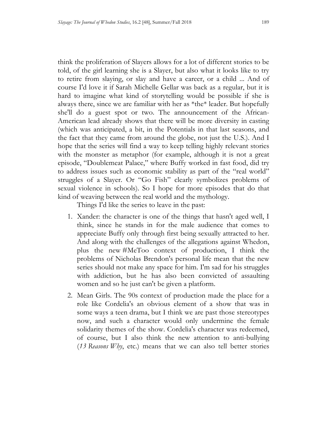think the proliferation of Slayers allows for a lot of different stories to be told, of the girl learning she is a Slayer, but also what it looks like to try to retire from slaying, or slay and have a career, or a child ... And of course I'd love it if Sarah Michelle Gellar was back as a regular, but it is hard to imagine what kind of storytelling would be possible if she is always there, since we are familiar with her as \*the\* leader. But hopefully she'll do a guest spot or two. The announcement of the African- American lead already shows that there will be more diversity in casting (which was anticipated, a bit, in the Potentials in that last seasons, and the fact that they came from around the globe, not just the U.S.). And I hope that the series will find a way to keep telling highly relevant stories with the monster as metaphor (for example, although it is not a great episode, "Doublemeat Palace," where Buffy worked in fast food, did try to address issues such as economic stability as part of the "real world" sexual violence in schools). So I hope for more episodes that do that kind of weaving between the real world and the mythology. struggles of a Slayer. Or "Go Fish" clearly symbolizes problems of

Things I'd like the series to leave in the past:

- 1. Xander: the character is one of the things that hasn't aged well, I think, since he stands in for the male audience that comes to appreciate Buffy only through first being sexually attracted to her. And along with the challenges of the allegations against Whedon, plus the new #MeToo context of production, I think the problems of Nicholas Brendon's personal life mean that the new series should not make any space for him. I'm sad for his struggles with addiction, but he has also been convicted of assaulting women and so he just can't be given a platform.
- 2. Mean Girls. The 90s context of production made the place for a role like Cordelia's an obvious element of a show that was in some ways a teen drama, but I think we are past those stereotypes now, and such a character would only undermine the female of course, but I also think the new attention to anti-bullying (13 Reasons Why, etc.) means that we can also tell better stories solidarity themes of the show. Cordelia's character was redeemed,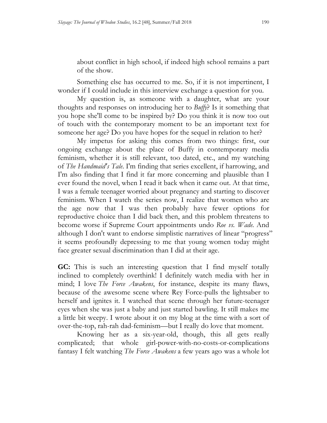about conflict in high school, if indeed high school remains a part of the show.

 Something else has occurred to me. So, if it is not impertinent, I wonder if I could include in this interview exchange a question for you.

 My question is, as someone with a daughter, what are your thoughts and responses on introducing her to *Buffy*? Is it something that you hope she'll come to be inspired by? Do you think it is now too out of touch with the contemporary moment to be an important text for someone her age? Do you have hopes for the sequel in relation to her?

 My impetus for asking this comes from two things: first, our ongoing exchange about the place of Buffy in contemporary media feminism, whether it is still relevant, too dated, etc., and my watching  of *The Handmaid's Tale*. I'm finding that series excellent, if harrowing, and I'm also finding that I find it far more concerning and plausible than I ever found the novel, when I read it back when it came out. At that time, I was a female teenager worried about pregnancy and starting to discover feminism. When I watch the series now, I realize that women who are the age now that I was then probably have fewer options for reproductive choice than I did back then, and this problem threatens to become worse if Supreme Court appointments undo *Roe vs. Wade.* And although I don't want to endorse simplistic narratives of linear "progress" it seems profoundly depressing to me that young women today might face greater sexual discrimination than I did at their age.

 **GC:** This is such an interesting question that I find myself totally inclined to completely overthink! I definitely watch media with her in mind; I love *The Force Awakens*, for instance, despite its many flaws, because of the awesome scene where Rey Force-pulls the lightsaber to herself and ignites it. I watched that scene through her future-teenager eyes when she was just a baby and just started bawling. It still makes me a little bit weepy. I wrote about it on my blog at the time with a sort of over-the-top, rah-rah dad-feminism—but I really do love that moment.

 Knowing her as a six-year-old, though, this all gets really fantasy I felt watching *The Force Awakens* a few years ago was a whole lot complicated; that whole girl-power-with-no-costs-or-complications